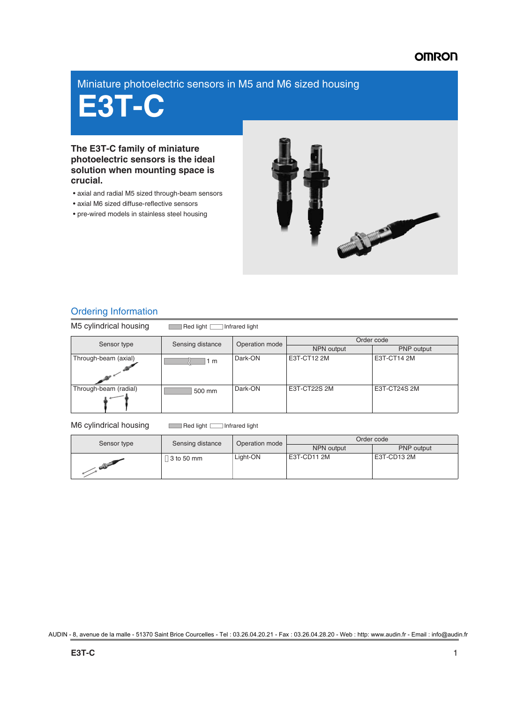### **OMRON**

### Miniature photoelectric sensors in M5 and M6 sized housing

# **E3T-C**

**The E3T-C family of miniature photoelectric sensors is the ideal solution when mounting space is crucial.**

- axial and radial M5 sized through-beam sensors
- axial M6 sized diffuse-reflective sensors
- pre-wired models in stainless steel housing



### Ordering Information

M5 cylindrical housing Red light Infrared light Sensor type Sensing distance Operation mode PNP output Through-beam (axial) **Dark-ON** E3T-CT12 2M E3T-CT14 2M Through-beam (radial) **Dark-ON** E3T-CT22S 2M E3T-CT24S 2M  $\sqrt{1}$  m 500 mm

### M6 cylindrical housing Red light Infrared light

| Sensor type   | Sensing distance | Operation mode | Order code  |             |
|---------------|------------------|----------------|-------------|-------------|
|               |                  |                | NPN output  | PNP output  |
| and the party | 3 to 50 mm       | Light-ON       | E3T-CD11 2M | E3T-CD13 2M |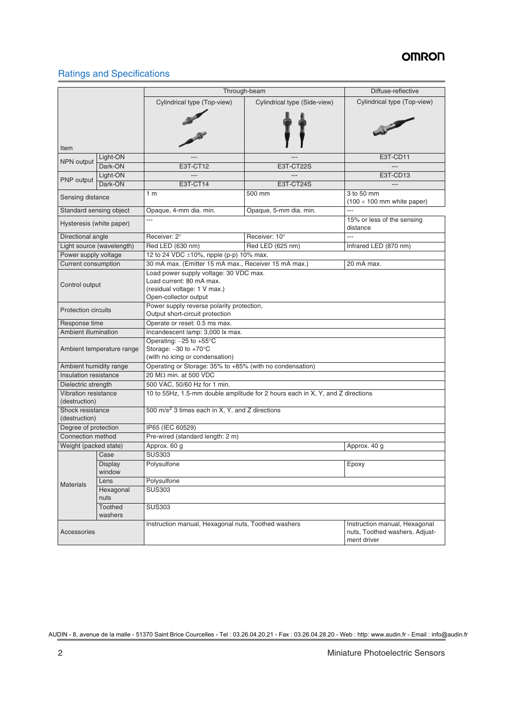## **OMRON**

### Ratings and Specifications

|                            |                                                                                                                              | Through-beam                                                                                                                |                              | Diffuse-reflective                                                             |  |  |
|----------------------------|------------------------------------------------------------------------------------------------------------------------------|-----------------------------------------------------------------------------------------------------------------------------|------------------------------|--------------------------------------------------------------------------------|--|--|
|                            |                                                                                                                              | Cylindrical type (Top-view)                                                                                                 | Cylindrical type (Side-view) | Cylindrical type (Top-view)                                                    |  |  |
|                            |                                                                                                                              |                                                                                                                             |                              |                                                                                |  |  |
| Item                       | Light-ON                                                                                                                     |                                                                                                                             |                              | E3T-CD11                                                                       |  |  |
| NPN output                 | Dark-ON                                                                                                                      | E3T-CT12                                                                                                                    | E3T-CT22S                    |                                                                                |  |  |
|                            | Light-ON                                                                                                                     |                                                                                                                             |                              | E3T-CD13                                                                       |  |  |
| PNP output                 | Dark-ON                                                                                                                      | <b>E3T-CT14</b>                                                                                                             | E3T-CT24S                    | $---$                                                                          |  |  |
|                            |                                                                                                                              | 1 <sub>m</sub>                                                                                                              | 500 mm                       | 3 to 50 mm                                                                     |  |  |
| Sensing distance           |                                                                                                                              |                                                                                                                             |                              | $(100 \times 100 \text{ mm}$ white paper)                                      |  |  |
|                            | Standard sensing object                                                                                                      | Opaque, 4-mm dia. min.                                                                                                      | Opaque, 5-mm dia. min.       |                                                                                |  |  |
| Hysteresis (white paper)   |                                                                                                                              | ---                                                                                                                         |                              | 15% or less of the sensing<br>distance                                         |  |  |
| Directional angle          |                                                                                                                              | Receiver: 2°                                                                                                                | Receiver: 10°                | ---                                                                            |  |  |
|                            | Light source (wavelength)                                                                                                    | Red LED (630 nm)                                                                                                            | Red LED (625 nm)             | Infrared LED (870 nm)                                                          |  |  |
| Power supply voltage       |                                                                                                                              | 12 to 24 VDC ±10%, ripple (p-p) 10% max.                                                                                    |                              |                                                                                |  |  |
| <b>Current consumption</b> |                                                                                                                              | 30 mA max. (Emitter 15 mA max., Receiver 15 mA max.)                                                                        |                              | 20 mA max.                                                                     |  |  |
| Control output             |                                                                                                                              | Load power supply voltage: 30 VDC max.<br>Load current: 80 mA max.<br>(residual voltage: 1 V max.)<br>Open-collector output |                              |                                                                                |  |  |
| <b>Protection circuits</b> |                                                                                                                              | Power supply reverse polarity protection,<br>Output short-circuit protection                                                |                              |                                                                                |  |  |
| Response time              |                                                                                                                              | Operate or reset: 0.5 ms max.                                                                                               |                              |                                                                                |  |  |
| Ambient illumination       |                                                                                                                              | Incandescent lamp: 3,000 lx max.                                                                                            |                              |                                                                                |  |  |
|                            | Operating: $-25$ to $+55^{\circ}$ C<br>Storage: -30 to +70°C<br>Ambient temperature range<br>(with no icing or condensation) |                                                                                                                             |                              |                                                                                |  |  |
| Ambient humidity range     |                                                                                                                              | Operating or Storage: 35% to +85% (with no condensation)                                                                    |                              |                                                                                |  |  |
| Insulation resistance      |                                                                                                                              | 20 MΩ min. at 500 VDC                                                                                                       |                              |                                                                                |  |  |
| Dielectric strength        |                                                                                                                              | 500 VAC, 50/60 Hz for 1 min.                                                                                                |                              |                                                                                |  |  |
| (destruction)              | 10 to 55Hz, 1.5-mm double amplitude for 2 hours each in X, Y, and Z directions<br>Vibration resistance                       |                                                                                                                             |                              |                                                                                |  |  |
| (destruction)              | 500 m/s <sup>2</sup> 3 times each in X, Y, and Z directions<br>Shock resistance                                              |                                                                                                                             |                              |                                                                                |  |  |
| Degree of protection       |                                                                                                                              | IP65 (IEC 60529)                                                                                                            |                              |                                                                                |  |  |
|                            | Connection method<br>Pre-wired (standard length: 2 m)                                                                        |                                                                                                                             |                              |                                                                                |  |  |
| Weight (packed state)      |                                                                                                                              | Approx. 60 g<br>Approx. 40 g                                                                                                |                              |                                                                                |  |  |
|                            | Case                                                                                                                         | <b>SUS303</b>                                                                                                               |                              |                                                                                |  |  |
| <b>Materials</b>           | <b>Display</b><br>window                                                                                                     | Polysulfone                                                                                                                 | Epoxy                        |                                                                                |  |  |
|                            | Lens                                                                                                                         | Polysulfone                                                                                                                 |                              |                                                                                |  |  |
|                            | Hexagonal<br>nuts                                                                                                            | <b>SUS303</b>                                                                                                               |                              |                                                                                |  |  |
|                            | Toothed<br>washers                                                                                                           | <b>SUS303</b>                                                                                                               |                              |                                                                                |  |  |
| Accessories                |                                                                                                                              | Instruction manual, Hexagonal nuts, Toothed washers                                                                         |                              | Instruction manual, Hexagonal<br>nuts, Toothed washers, Adjust-<br>ment driver |  |  |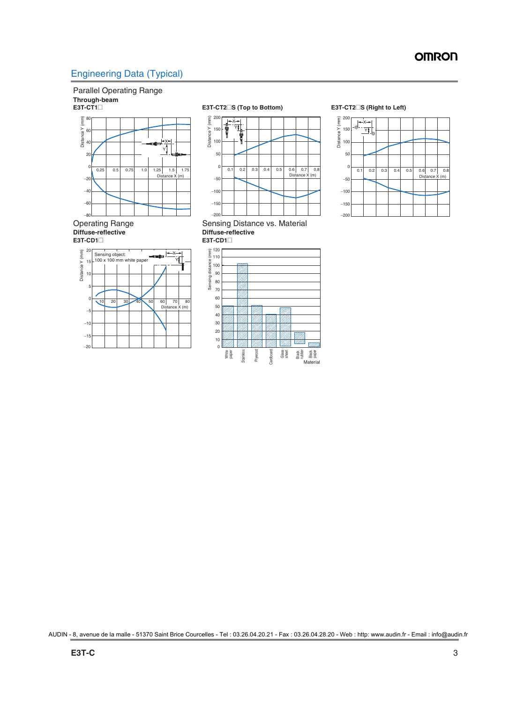### Engineering Data (Typical)

### Parallel Operating Range **Through-beam**









Operating Range Sensing Distance vs. Material<br>
Diffuse-reflective Diffuse-reflective



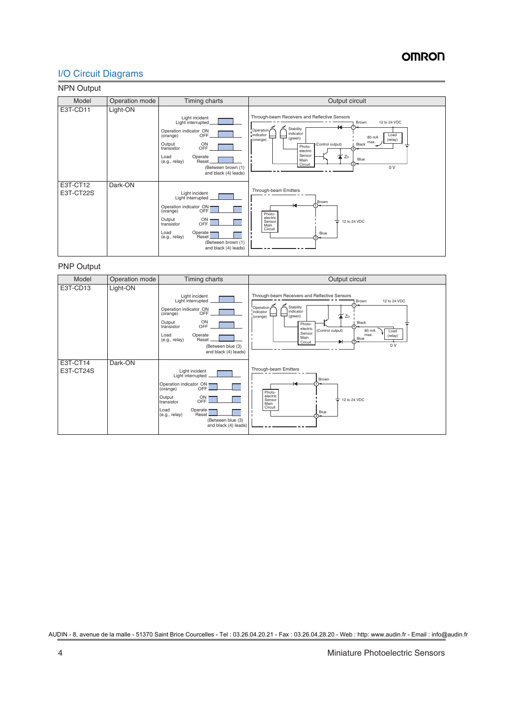### I/O Circuit Diagrams

### NPN Output

| Model                 | Operation mode | Timing charts                                                                                                                                                                                                            | Output circuit                                                                                                                                                                                                                                                                                 |
|-----------------------|----------------|--------------------------------------------------------------------------------------------------------------------------------------------------------------------------------------------------------------------------|------------------------------------------------------------------------------------------------------------------------------------------------------------------------------------------------------------------------------------------------------------------------------------------------|
| E3T-CD11              | Light-ON       | Light incident<br>Light interrupted<br>Operation indicator ON<br>OFF.<br>(orange)<br>ON<br>Output<br><b>OFF</b><br>transistor<br>Load<br>Operate<br>Reset<br>(e.g., relay)<br>(Between brown (1)<br>and black (4) leads) | Through-beam Receivers and Reflective Sensors<br>12 to 24 VDC<br>Brown<br>Stability<br>Operation<br>indicator<br>indicator<br>Load<br>두<br>80 mA<br>(green)<br>(orange)<br>(relay)<br>max.<br>(Control output)<br>Black<br>Photo-<br>electric<br>Sensor<br>ZD<br>Blue<br>Main<br>Circuit<br>0V |
| E3T-CT12<br>E3T-CT22S | Dark-ON        | Light incident<br>Light interrupted<br>Operation indicator ON<br>(orange) OFF<br>Output<br>$rac{ON}{OFF}$<br>transistor<br>Load<br>Operate —<br>Reset<br>(e.g., relay)<br>(Between brown (1)<br>and black (4) leads)     | Through-beam Emitters<br>Brown<br>К<br>Photo-<br>electric<br>Sensor<br>12 to 24 VDC<br>÷<br>Main<br>Circuit<br>Blue                                                                                                                                                                            |

### PNP Output

| Model                 | Operation mode | Timing charts                                                                                                                                                                                                                                | Output circuit                                                                                                                                                                                                                                                                                                     |
|-----------------------|----------------|----------------------------------------------------------------------------------------------------------------------------------------------------------------------------------------------------------------------------------------------|--------------------------------------------------------------------------------------------------------------------------------------------------------------------------------------------------------------------------------------------------------------------------------------------------------------------|
| E3T-CD13              | Light-ON       | Light incident<br>Light interrupted<br>Operation indicator ON<br><b>OFF</b><br>(orange)<br>Output<br>ON<br>OFF<br>transistor<br>Load<br>Operate<br>Reset<br>(e.g., relay)<br>(Between blue (3)<br>and black (4) leads)                       | Through-beam Receivers and Reflective Sensors<br>12 to 24 VDC<br>Brown<br>Operation<br>Stability<br>indicator<br>indicator<br><b>X</b> ZD<br>(green)<br>(orange)<br>Black<br>Photo-<br>electric<br>(Control output)<br>80 mA<br>Load<br>Sensor<br>max.<br>(relay)<br>Main<br>$3)$ <sup>Blue</sup><br>Circuit<br>0V |
| E3T-CT14<br>E3T-CT24S | Dark-ON        | Light incident<br>Light interrupted<br>Operation indicator ON<br>(orange) OFF<br>(orange)<br>Output<br>ON<br><b>OFF</b><br>transistor<br>Load<br>Operate <sup>-</sup><br>(e.g., relay)<br>Reset<br>(Between blue (3)<br>and black (4) leads) | Through-beam Emitters<br>Brown<br>Photo-<br>electric<br>Sensor<br>≑<br>12 to 24 VDC<br>Main<br>Circuit<br>Blue                                                                                                                                                                                                     |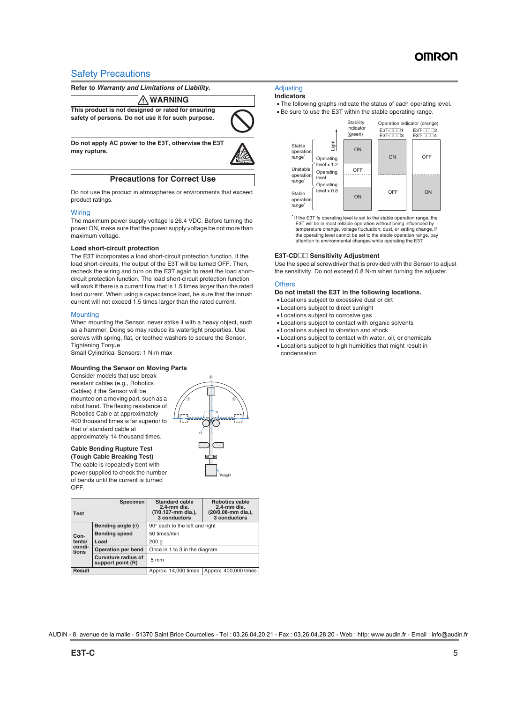### Safety Precautions

**Refer to** *Warranty and Limitations of Liability***.**

#### **WARNING** ΛN

**This product is not designed or rated for ensuring safety of persons. Do not use it for such purpose.**



**Do not apply AC power to the E3T, otherwise the E3T may rupture.**



**Precautions for Correct Use**

Do not use the product in atmospheres or environments that exceed product ratings.

### **Wiring**

The maximum power supply voltage is 26.4 VDC. Before turning the power ON, make sure that the power supply voltage be not more than maximum voltage.

### **Load short-circuit protection**

The E3T incorporates a load short-circuit protection function. If the load short-circuits, the output of the E3T will be turned OFF. Then, recheck the wiring and turn on the E3T again to reset the load shortcircuit protection function. The load short-circuit protection function will work if there is a current flow that is 1.5 times larger than the rated load current. When using a capacitance load, be sure that the inrush current will not exceed 1.5 times larger than the rated current.

### **Mounting**

When mounting the Sensor, never strike it with a heavy object, such as a hammer. Doing so may reduce its watertight properties. Use screws with spring, flat, or toothed washers to secure the Sensor. Tightening Torque

Small Cylindrical Sensors: 1 N·m max

### **Mounting the Sensor on Moving Parts**

Consider models that use break resistant cables (e.g., Robotics Cables) if the Sensor will be mounted on a moving part, such as a robot hand. The flexing resistance of Robotics Cable at approximately 400 thousand times is far superior to that of standard cable at approximately 14 thousand times.

#### **Cable Bending Rupture Test (Tough Cable Breaking Test)**

The cable is repeatedly bent with power supplied to check the number of bends until the current is turned **OFF.** 



| <b>Test</b>               | <b>Specimen</b>                                 | <b>Standard cable</b><br>2.4-mm dia.<br>(7/0.127-mm dia.),<br>3 conductors | Robotics cable<br>$2.4$ -mm dia.<br>(20/0.08-mm dia.),<br>3 conductors |  |
|---------------------------|-------------------------------------------------|----------------------------------------------------------------------------|------------------------------------------------------------------------|--|
|                           | Bending angle $(\theta)$                        | 90° each to the left and right                                             |                                                                        |  |
| Con-                      | <b>Bending speed</b>                            | 50 times/min                                                               |                                                                        |  |
| tents/<br>condi-<br>tions | Load                                            | 200q                                                                       |                                                                        |  |
|                           | Operation per bend                              | Once in 1 to 3 in the diagram                                              |                                                                        |  |
|                           | <b>Curvature radius of</b><br>support point (R) | $5 \text{ mm}$                                                             |                                                                        |  |
| <b>Result</b>             |                                                 | Approx. 14,000 times                                                       | Approx. 400,000 times                                                  |  |

### **Adjusting**

### **Indicators**

 The following graphs indicate the status of each operating level. Be sure to use the E3T within the stable operating range.



\* If the E3T fs operating level is set to the stable operation range, the E3T will be in most reliable operation without being influenced by temperature change, voltage fluctuation, dust, or setting change. If the operating level cannot be set to the stable operation range, pay attention to environmental changes while operating the E3T.

### **E3T-CD**<sup>■</sup> Sensitivity Adjustment

Use the special screwdriver that is provided with the Sensor to adjust the sensitivity. Do not exceed 0.8 N·m when turning the adjuster.

### **Others**

#### **Do not install the E3T in the following locations.**

- Locations subject to excessive dust or dirt
- Locations subject to direct sunlight
- Locations subject to corrosive gas
- Locations subject to contact with organic solvents
- Locations subject to vibration and shock
- Locations subject to contact with water, oil, or chemicals
- Locations subject to high humidities that might result in condensation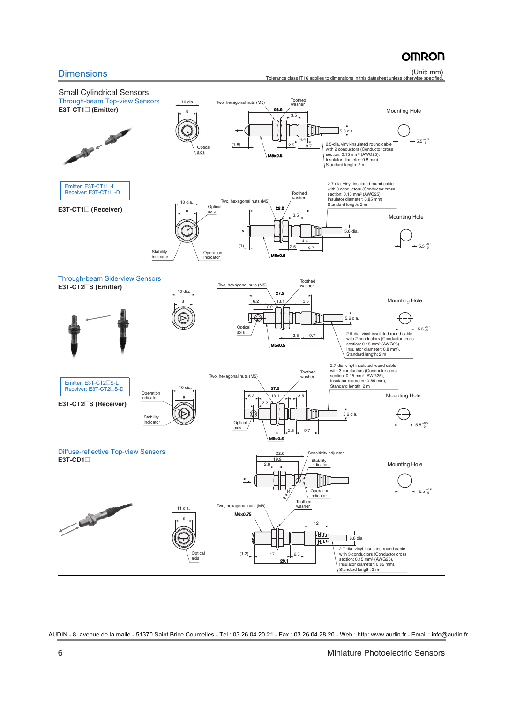# **OMRON**

Dimensions (Unit: mm) Tolerance class IT16 applies to dimensions in this datasheet unless otherwise specified.

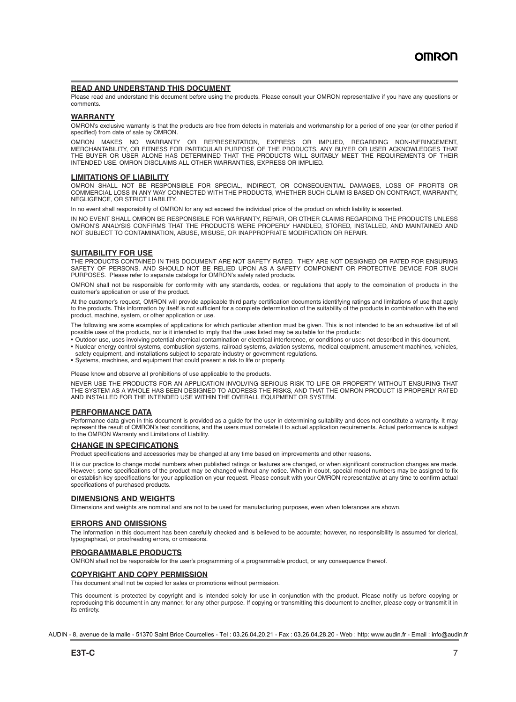### **READ AND UNDERSTAND THIS DOCUMENT**

Please read and understand this document before using the products. Please consult your OMRON representative if you have any questions or comments.

#### **WARRANTY**

OMRON's exclusive warranty is that the products are free from defects in materials and workmanship for a period of one year (or other period if specified) from date of sale by OMRON.

OMRON MAKES NO WARRANTY OR REPRESENTATION, EXPRESS OR IMPLIED, REGARDING NON-INFRINGEMENT, MERCHANTABILITY, OR FITNESS FOR PARTICULAR PURPOSE OF THE PRODUCTS. ANY BUYER OR USER ACKNOWLEDGES THAT THE BUYER OR USER ALONE HAS DETERMINED THAT THE PRODUCTS WILL SUITABLY MEET THE REQUIREMENTS OF THEIR INTENDED USE. OMRON DISCLAIMS ALL OTHER WARRANTIES, EXPRESS OR IMPLIED.

### **LIMITATIONS OF LIABILITY**

OMRON SHALL NOT BE RESPONSIBLE FOR SPECIAL, INDIRECT, OR CONSEQUENTIAL DAMAGES, LOSS OF PROFITS OR COMMERCIAL LOSS IN ANY WAY CONNECTED WITH THE PRODUCTS, WHETHER SUCH CLAIM IS BASED ON CONTRACT, WARRANTY, NEGLIGENCE, OR STRICT LIABILITY.

In no event shall responsibility of OMRON for any act exceed the individual price of the product on which liability is asserted.

IN NO EVENT SHALL OMRON BE RESPONSIBLE FOR WARRANTY, REPAIR, OR OTHER CLAIMS REGARDING THE PRODUCTS UNLESS OMRON'S ANALYSIS CONFIRMS THAT THE PRODUCTS WERE PROPERLY HANDLED, STORED, INSTALLED, AND MAINTAINED AND NOT SUBJECT TO CONTAMINATION, ABUSE, MISUSE, OR INAPPROPRIATE MODIFICATION OR REPAIR.

### **SUITABILITY FOR USE**

THE PRODUCTS CONTAINED IN THIS DOCUMENT ARE NOT SAFETY RATED. THEY ARE NOT DESIGNED OR RATED FOR ENSURING SAFETY OF PERSONS, AND SHOULD NOT BE RELIED UPON AS A SAFETY COMPONENT OR PROTECTIVE DEVICE FOR SUCH PURPOSES. Please refer to separate catalogs for OMRON's safety rated products.

OMRON shall not be responsible for conformity with any standards, codes, or regulations that apply to the combination of products in the customer's application or use of the product.

At the customer's request, OMRON will provide applicable third party certification documents identifying ratings and limitations of use that apply to the products. This information by itself is not sufficient for a complete determination of the suitability of the products in combination with the end product, machine, system, or other application or use.

The following are some examples of applications for which particular attention must be given. This is not intended to be an exhaustive list of all possible uses of the products, nor is it intended to imply that the uses listed may be suitable for the products:

- Outdoor use, uses involving potential chemical contamination or electrical interference, or conditions or uses not described in this document.
- Nuclear energy control systems, combustion systems, railroad systems, aviation systems, medical equipment, amusement machines, vehicles,
- safety equipment, and installations subject to separate industry or government regulations.
- Systems, machines, and equipment that could present a risk to life or property.

Please know and observe all prohibitions of use applicable to the products.

NEVER USE THE PRODUCTS FOR AN APPLICATION INVOLVING SERIOUS RISK TO LIFE OR PROPERTY WITHOUT ENSURING THAT THE SYSTEM AS A WHOLE HAS BEEN DESIGNED TO ADDRESS THE RISKS, AND THAT THE OMRON PRODUCT IS PROPERLY RATED AND INSTALLED FOR THE INTENDED USE WITHIN THE OVERALL EQUIPMENT OR SYSTEM.

### **PERFORMANCE DATA**

Performance data given in this document is provided as a guide for the user in determining suitability and does not constitute a warranty. It may represent the result of OMRON's test conditions, and the users must correlate it to actual application requirements. Actual performance is subject to the OMRON Warranty and Limitations of Liability.

### **CHANGE IN SPECIFICATIONS**

Product specifications and accessories may be changed at any time based on improvements and other reasons.

It is our practice to change model numbers when published ratings or features are changed, or when significant construction changes are made. However, some specifications of the product may be changed without any notice. When in doubt, special model numbers may be assigned to fix or establish key specifications for your application on your request. Please consult with your OMRON representative at any time to confirm actual specifications of purchased products.

#### **DIMENSIONS AND WEIGHTS**

Dimensions and weights are nominal and are not to be used for manufacturing purposes, even when tolerances are shown.

#### **ERRORS AND OMISSIONS**

The information in this document has been carefully checked and is believed to be accurate; however, no responsibility is assumed for clerical, typographical, or proofreading errors, or omissions.

#### **PROGRAMMABLE PRODUCTS**

OMRON shall not be responsible for the user's programming of a programmable product, or any consequence thereof.

### **COPYRIGHT AND COPY PERMISSION**

This document shall not be copied for sales or promotions without permission.

This document is protected by copyright and is intended solely for use in conjunction with the product. Please notify us before copying or reproducing this document in any manner, for any other purpose. If copying or transmitting this document to another, please copy or transmit it in its entirety.